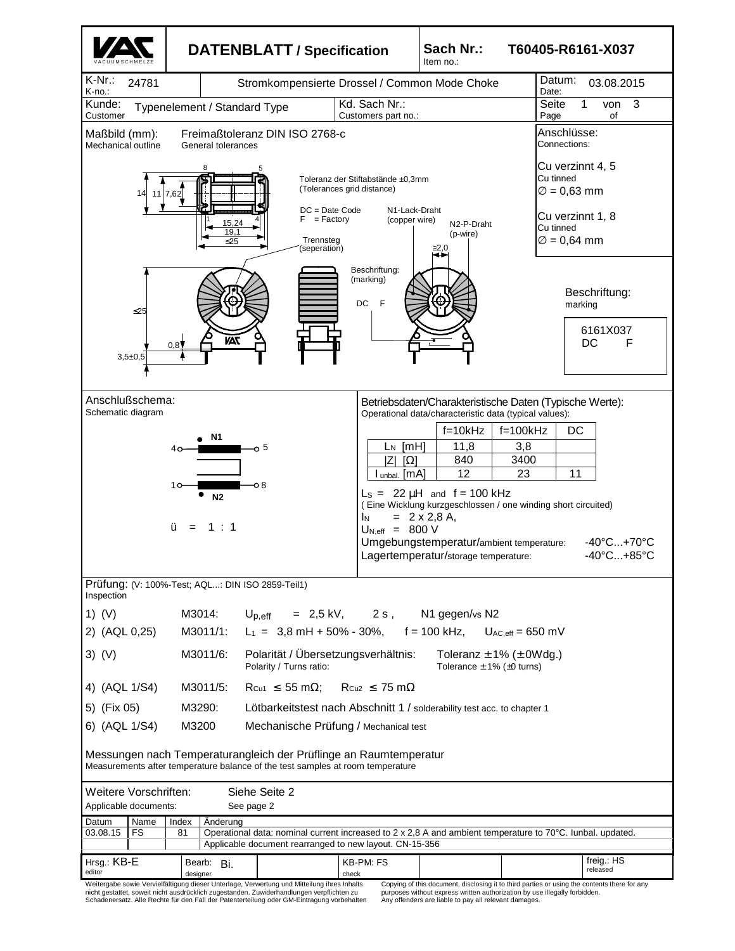

Schadenersatz. Alle Rechte für den Fall der Patenterteilung oder GM-Eintragung vorbehalten

purposes without express written authorization by use illegally forbidden. Any offenders are liable to pay all relevant damages.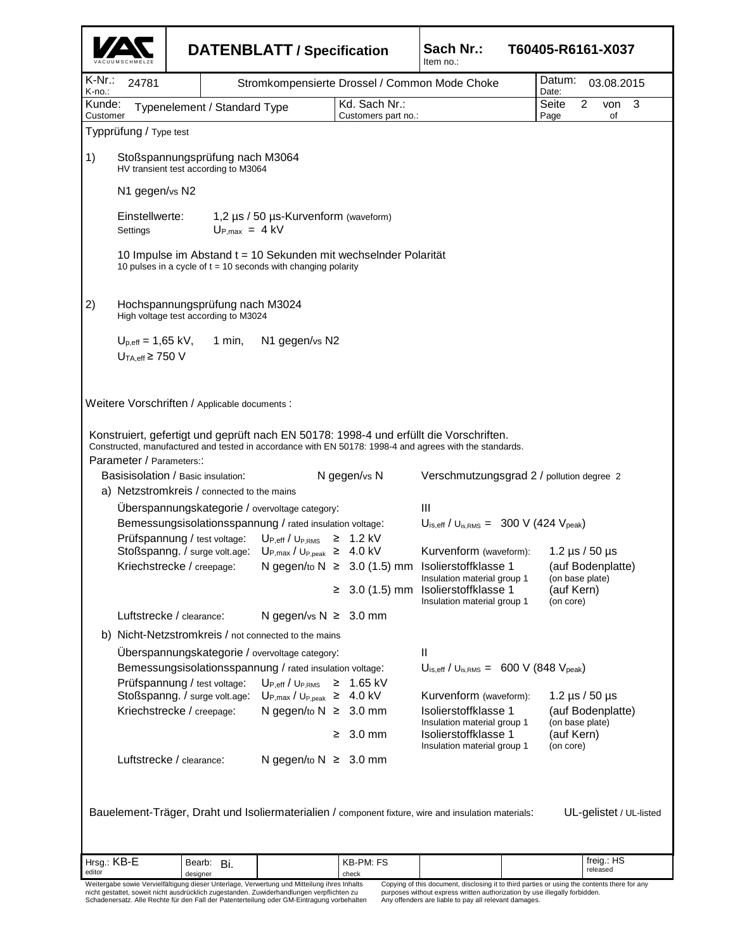|                  |                                                                         |                                               | <b>DATENBLATT / Specification</b>                                                                                                  |                                      |                     | Sach Nr.:<br>Item no.:                                                                                                                                                  | T60405-R6161-X037                     |  |
|------------------|-------------------------------------------------------------------------|-----------------------------------------------|------------------------------------------------------------------------------------------------------------------------------------|--------------------------------------|---------------------|-------------------------------------------------------------------------------------------------------------------------------------------------------------------------|---------------------------------------|--|
| K-Nr.:<br>K-no.: | 24781                                                                   |                                               |                                                                                                                                    |                                      |                     | Stromkompensierte Drossel / Common Mode Choke                                                                                                                           | Datum:<br>03.08.2015<br>Date:         |  |
| Kunde:           |                                                                         | Typenelement / Standard Type                  |                                                                                                                                    |                                      | Kd. Sach Nr.:       |                                                                                                                                                                         | 3<br>Seite<br>2<br>von                |  |
| Customer         | Typprüfung / Type test                                                  |                                               |                                                                                                                                    |                                      | Customers part no.: |                                                                                                                                                                         | Page<br>of                            |  |
|                  |                                                                         |                                               |                                                                                                                                    |                                      |                     |                                                                                                                                                                         |                                       |  |
| 1)               | Stoßspannungsprüfung nach M3064<br>HV transient test according to M3064 |                                               |                                                                                                                                    |                                      |                     |                                                                                                                                                                         |                                       |  |
|                  | N1 gegen/vs N2                                                          |                                               |                                                                                                                                    |                                      |                     |                                                                                                                                                                         |                                       |  |
|                  | Einstellwerte:<br>Settings                                              |                                               | $U_{P,max} = 4 kV$                                                                                                                 | 1,2 µs / 50 µs-Kurvenform (waveform) |                     |                                                                                                                                                                         |                                       |  |
|                  |                                                                         |                                               | 10 Impulse im Abstand t = 10 Sekunden mit wechselnder Polarität<br>10 pulses in a cycle of $t = 10$ seconds with changing polarity |                                      |                     |                                                                                                                                                                         |                                       |  |
| 2)               |                                                                         | High voltage test according to M3024          | Hochspannungsprüfung nach M3024                                                                                                    |                                      |                     |                                                                                                                                                                         |                                       |  |
|                  | $U_{p,eff}$ = 1,65 kV,<br>$U_{TA,eff} \geq 750$ V                       | 1 min,                                        | N1 gegen/vs N2                                                                                                                     |                                      |                     |                                                                                                                                                                         |                                       |  |
|                  |                                                                         | Weitere Vorschriften / Applicable documents : |                                                                                                                                    |                                      |                     |                                                                                                                                                                         |                                       |  |
|                  |                                                                         |                                               |                                                                                                                                    |                                      |                     | Konstruiert, gefertigt und geprüft nach EN 50178: 1998-4 und erfüllt die Vorschriften.                                                                                  |                                       |  |
|                  | Parameter / Parameters::                                                |                                               |                                                                                                                                    |                                      |                     | Constructed, manufactured and tested in accordance with EN 50178: 1998-4 and agrees with the standards.                                                                 |                                       |  |
|                  |                                                                         | Basisisolation / Basic insulation:            |                                                                                                                                    |                                      | N gegen/vs N        | Verschmutzungsgrad 2 / pollution degree 2                                                                                                                               |                                       |  |
|                  |                                                                         | a) Netzstromkreis / connected to the mains    |                                                                                                                                    |                                      |                     |                                                                                                                                                                         |                                       |  |
|                  |                                                                         |                                               | Uberspannungskategorie / overvoltage category:                                                                                     |                                      |                     | Ш                                                                                                                                                                       |                                       |  |
|                  |                                                                         |                                               | Bemessungsisolationsspannung / rated insulation voltage:                                                                           |                                      |                     | $U_{\text{is,eff}}$ / $U_{\text{is,RMS}} = 300 \text{ V} (424 \text{ V}_{\text{peak}})$                                                                                 |                                       |  |
|                  |                                                                         |                                               | Prüfspannung / test voltage: U <sub>P,eff</sub> / U <sub>P,RMS</sub> ≥ 1.2 kV                                                      |                                      |                     |                                                                                                                                                                         |                                       |  |
|                  |                                                                         |                                               | Stoßspanng. / surge volt.age: U <sub>P,max</sub> / U <sub>P,peak</sub> ≥ 4.0 kV                                                    |                                      |                     | Kurvenform (waveform): 1.2 µs / 50 µs                                                                                                                                   |                                       |  |
|                  |                                                                         |                                               |                                                                                                                                    |                                      |                     | Kriechstrecke / creepage: N gegen/to N ≥ 3.0 (1.5) mm Isolierstoffklasse 1 (auf Bodenplatte)<br>Insulation material group 1<br>$\geq 3.0$ (1.5) mm Isolierstoffklasse 1 | (on base plate)<br>(auf Kern)         |  |
|                  |                                                                         | Luftstrecke / clearance:                      | N gegen/vs $N \geq 3.0$ mm                                                                                                         |                                      |                     | Insulation material group 1                                                                                                                                             | (on core)                             |  |
|                  |                                                                         |                                               | b) Nicht-Netzstromkreis / not connected to the mains                                                                               |                                      |                     |                                                                                                                                                                         |                                       |  |
|                  |                                                                         |                                               |                                                                                                                                    |                                      |                     | $\mathbf{I}$                                                                                                                                                            |                                       |  |
|                  |                                                                         |                                               | Überspannungskategorie / overvoltage category:<br>Bemessungsisolationsspannung / rated insulation voltage:                         |                                      |                     | $U_{\text{is,eff}}$ / $U_{\text{is,RMS}} = 600 \text{ V}$ (848 $V_{\text{peak}}$ )                                                                                      |                                       |  |
|                  |                                                                         | Prüfspannung / test voltage:                  | $U_{P,eff}/U_{P,RMS}$                                                                                                              |                                      | $≥$ 1.65 kV         |                                                                                                                                                                         |                                       |  |
|                  |                                                                         |                                               | Stoßspanng. / surge volt.age: UP, max / U <sub>P, peak</sub> ≥ 4.0 kV                                                              |                                      |                     | Kurvenform (waveform):                                                                                                                                                  | 1.2 $\mu$ s / 50 $\mu$ s              |  |
|                  |                                                                         | Kriechstrecke / creepage:                     | N gegen/to $N \geq 3.0$ mm                                                                                                         |                                      |                     | Isolierstoffklasse 1                                                                                                                                                    | (auf Bodenplatte)                     |  |
|                  |                                                                         |                                               |                                                                                                                                    |                                      | $\geq 3.0$ mm       | Insulation material group 1<br>Isolierstoffklasse 1                                                                                                                     | (on base plate)<br>(auf Kern)         |  |
|                  |                                                                         | Luftstrecke / clearance:                      | N gegen/to $N \geq 3.0$ mm                                                                                                         |                                      |                     | Insulation material group 1                                                                                                                                             | (on core)                             |  |
|                  |                                                                         |                                               |                                                                                                                                    |                                      |                     | Bauelement-Träger, Draht und Isoliermaterialien / component fixture, wire and insulation materials:                                                                     |                                       |  |
|                  | Hrsg.: KB-E                                                             | Bearb: Bi.                                    |                                                                                                                                    |                                      | KB-PM: FS           |                                                                                                                                                                         | UL-gelistet / UL-listed<br>freig.: HS |  |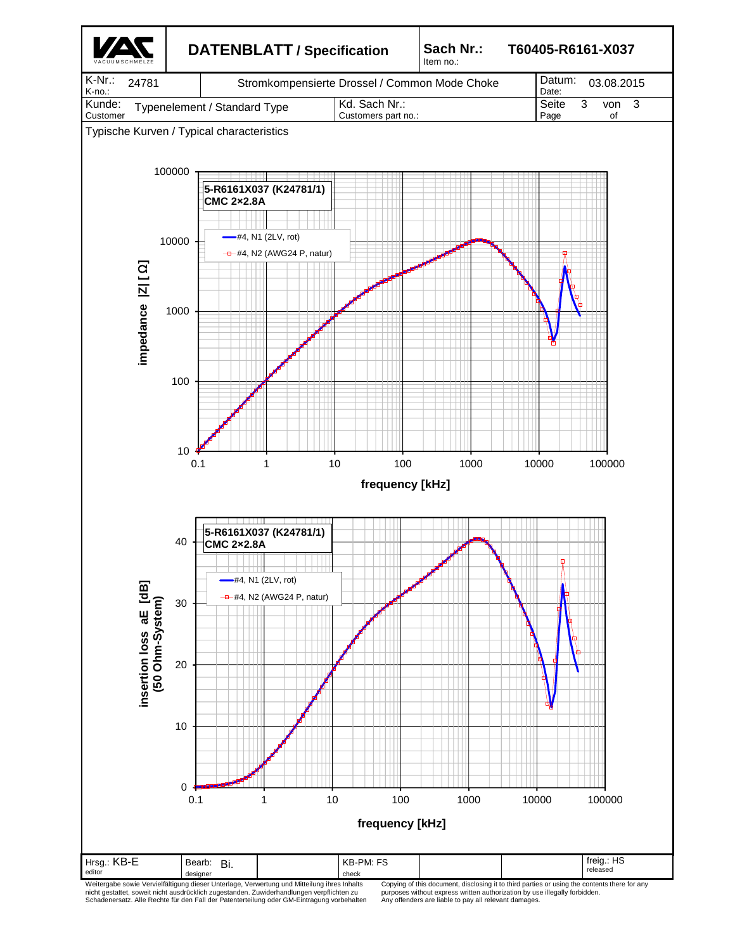

Weitergabe sowie Vervielfältigung dieser Unterlage, Verwertung und Mitteilung ihres Inhalts<br>nicht gestattet, soweit nicht ausdrücklich zugestanden. Zuwiderhandlungen verpflichten zu<br>Schadenersatz. Alle Rechte für den Fall

purposes without express written authorization by use illegally forbidden. Any offenders are liable to pay all relevant damages.